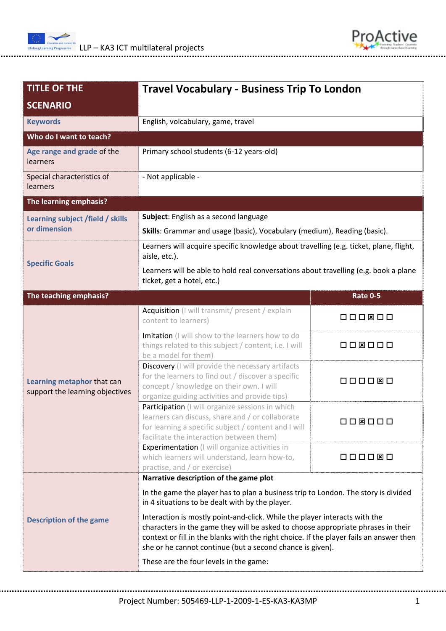



| <b>TITLE OF THE</b><br><b>SCENARIO</b>                        | <b>Travel Vocabulary - Business Trip To London</b>                                                                                                                                                                                                                                                                     |                 |  |
|---------------------------------------------------------------|------------------------------------------------------------------------------------------------------------------------------------------------------------------------------------------------------------------------------------------------------------------------------------------------------------------------|-----------------|--|
| <b>Keywords</b>                                               | English, volcabulary, game, travel                                                                                                                                                                                                                                                                                     |                 |  |
| Who do I want to teach?                                       |                                                                                                                                                                                                                                                                                                                        |                 |  |
| Age range and grade of the<br>learners                        | Primary school students (6-12 years-old)                                                                                                                                                                                                                                                                               |                 |  |
| Special characteristics of<br>learners                        | - Not applicable -                                                                                                                                                                                                                                                                                                     |                 |  |
| The learning emphasis?                                        |                                                                                                                                                                                                                                                                                                                        |                 |  |
| Learning subject /field / skills                              | Subject: English as a second language                                                                                                                                                                                                                                                                                  |                 |  |
| or dimension                                                  | Skills: Grammar and usage (basic), Vocabulary (medium), Reading (basic).                                                                                                                                                                                                                                               |                 |  |
| <b>Specific Goals</b>                                         | Learners will acquire specific knowledge about travelling (e.g. ticket, plane, flight,<br>aisle, etc.).                                                                                                                                                                                                                |                 |  |
|                                                               | Learners will be able to hold real conversations about travelling (e.g. book a plane<br>ticket, get a hotel, etc.)                                                                                                                                                                                                     |                 |  |
| The teaching emphasis?                                        |                                                                                                                                                                                                                                                                                                                        | <b>Rate 0-5</b> |  |
|                                                               | Acquisition (I will transmit/ present / explain<br>content to learners)                                                                                                                                                                                                                                                | 000800          |  |
| Learning metaphor that can<br>support the learning objectives | Imitation (I will show to the learners how to do<br>things related to this subject / content, i.e. I will<br>be a model for them)                                                                                                                                                                                      | 008000          |  |
|                                                               | Discovery (I will provide the necessary artifacts<br>for the learners to find out / discover a specific<br>000080<br>concept / knowledge on their own. I will<br>organize guiding activities and provide tips)                                                                                                         |                 |  |
|                                                               | Participation (I will organize sessions in which<br>learners can discuss, share and / or collaborate<br>for learning a specific subject / content and I will<br>facilitate the interaction between them)                                                                                                               | 000000          |  |
|                                                               | <b>Experimentation</b> (I will organize activities in<br>which learners will understand, learn how-to,<br>practise, and / or exercise)                                                                                                                                                                                 | 000000          |  |
| <b>Description of the game</b>                                | Narrative description of the game plot                                                                                                                                                                                                                                                                                 |                 |  |
|                                                               | In the game the player has to plan a business trip to London. The story is divided<br>in 4 situations to be dealt with by the player.                                                                                                                                                                                  |                 |  |
|                                                               | Interaction is mostly point-and-click. While the player interacts with the<br>characters in the game they will be asked to choose appropriate phrases in their<br>context or fill in the blanks with the right choice. If the player fails an answer then<br>she or he cannot continue (but a second chance is given). |                 |  |
|                                                               | These are the four levels in the game:                                                                                                                                                                                                                                                                                 |                 |  |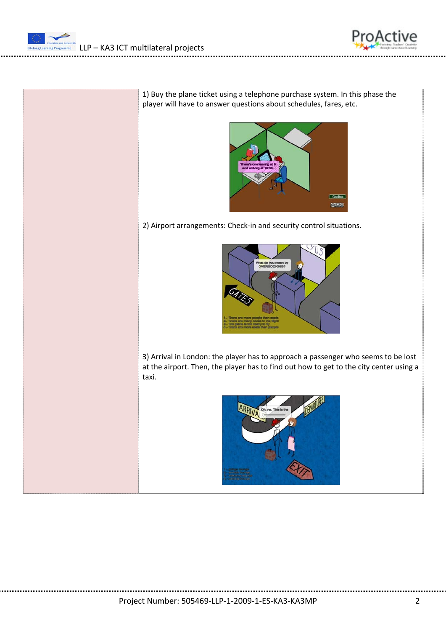

1) Buy the plane ticket using a telephone purchase system. In this phase the player will have to answer questions about schedules, fares, etc.



2) Airport arrangements: Check-in and security control situations.



3) Arrival in London: the player has to approach a passenger who seems to be lost at the airport. Then, the player has to find out how to get to the city center using a taxi.

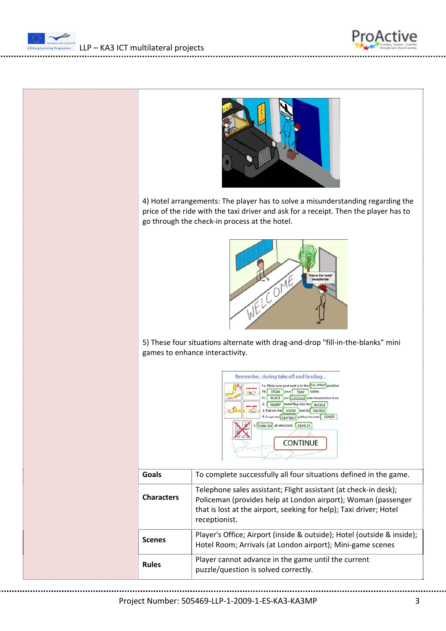





4) Hotel arrangements: The player has to solve a misunderstanding regarding the price of the ride with the taxi driver and ask for a receipt. Then the player has to go through the check‐in process at the hotel.



5) These four situations alternate with drag‐and‐drop "fill‐in‐the‐blanks" mini games to enhance interactivity.



| Goals             | To complete successfully all four situations defined in the game.                                                                                                                                                       |
|-------------------|-------------------------------------------------------------------------------------------------------------------------------------------------------------------------------------------------------------------------|
| <b>Characters</b> | Telephone sales assistant; Flight assistant (at check-in desk);<br>Policeman (provides help at London airport); Woman (passenger<br>that is lost at the airport, seeking for help); Taxi driver; Hotel<br>receptionist. |
| Scenes            | Player's Office; Airport (inside & outside); Hotel (outside & inside);<br>Hotel Room; Arrivals (at London airport); Mini-game scenes                                                                                    |
| <b>Rules</b>      | Player cannot advance in the game until the current<br>puzzle/question is solved correctly.                                                                                                                             |

Project Number: 505469‐LLP‐1‐2009‐1‐ES‐KA3‐KA3MP 3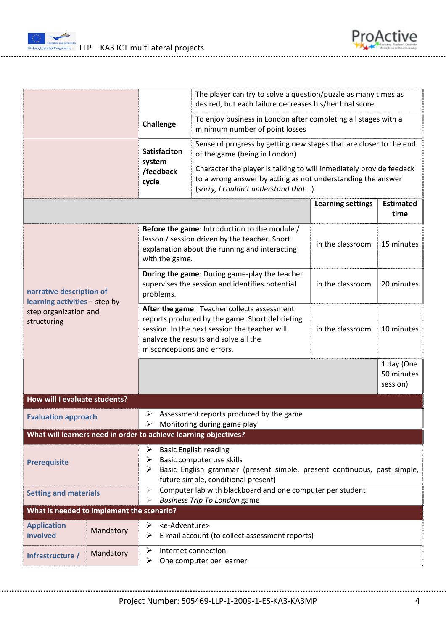$\frac{1}{2}$  LLP – KA3 ICT multilateral projects

| ProActive |  |          |
|-----------|--|----------|
|           |  | oritvity |

|                                                                                                   |                                                                                                                                                                                                                       |                                                                                                                                                                             | The player can try to solve a question/puzzle as many times as<br>desired, but each failure decreases his/her final score                                                                                                                                                        |                          |                                      |  |
|---------------------------------------------------------------------------------------------------|-----------------------------------------------------------------------------------------------------------------------------------------------------------------------------------------------------------------------|-----------------------------------------------------------------------------------------------------------------------------------------------------------------------------|----------------------------------------------------------------------------------------------------------------------------------------------------------------------------------------------------------------------------------------------------------------------------------|--------------------------|--------------------------------------|--|
|                                                                                                   |                                                                                                                                                                                                                       | <b>Challenge</b>                                                                                                                                                            | To enjoy business in London after completing all stages with a<br>minimum number of point losses                                                                                                                                                                                 |                          |                                      |  |
|                                                                                                   |                                                                                                                                                                                                                       | <b>Satisfaciton</b><br>system<br>/feedback<br>cycle                                                                                                                         | Sense of progress by getting new stages that are closer to the end<br>of the game (being in London)<br>Character the player is talking to will inmediately provide feedack<br>to a wrong answer by acting as not understanding the answer<br>(sorry, I couldn't understand that) |                          |                                      |  |
|                                                                                                   |                                                                                                                                                                                                                       |                                                                                                                                                                             |                                                                                                                                                                                                                                                                                  | <b>Learning settings</b> | <b>Estimated</b><br>time             |  |
|                                                                                                   |                                                                                                                                                                                                                       | Before the game: Introduction to the module /<br>lesson / session driven by the teacher. Short<br>explanation about the running and interacting<br>with the game.           |                                                                                                                                                                                                                                                                                  | in the classroom         | 15 minutes                           |  |
| narrative description of<br>learning activities - step by<br>step organization and<br>structuring | During the game: During game-play the teacher<br>supervises the session and identifies potential<br>problems.                                                                                                         |                                                                                                                                                                             | in the classroom                                                                                                                                                                                                                                                                 | 20 minutes               |                                      |  |
|                                                                                                   | After the game: Teacher collects assessment<br>reports produced by the game. Short debriefing<br>session. In the next session the teacher will<br>analyze the results and solve all the<br>misconceptions and errors. |                                                                                                                                                                             | in the classroom                                                                                                                                                                                                                                                                 | 10 minutes               |                                      |  |
|                                                                                                   |                                                                                                                                                                                                                       |                                                                                                                                                                             |                                                                                                                                                                                                                                                                                  |                          | 1 day (One<br>50 minutes<br>session) |  |
| How will I evaluate students?                                                                     |                                                                                                                                                                                                                       |                                                                                                                                                                             |                                                                                                                                                                                                                                                                                  |                          |                                      |  |
| ➤<br><b>Evaluation approach</b>                                                                   |                                                                                                                                                                                                                       |                                                                                                                                                                             | Assessment reports produced by the game<br>Monitoring during game play                                                                                                                                                                                                           |                          |                                      |  |
| What will learners need in order to achieve learning objectives?                                  |                                                                                                                                                                                                                       |                                                                                                                                                                             |                                                                                                                                                                                                                                                                                  |                          |                                      |  |
| ➤<br>➤<br><b>Prerequisite</b>                                                                     |                                                                                                                                                                                                                       | <b>Basic English reading</b><br>Basic computer use skills<br>Basic English grammar (present simple, present continuous, past simple,<br>future simple, conditional present) |                                                                                                                                                                                                                                                                                  |                          |                                      |  |
| <b>Setting and materials</b>                                                                      |                                                                                                                                                                                                                       | Computer lab with blackboard and one computer per student<br>⋗<br><b>Business Trip To London game</b>                                                                       |                                                                                                                                                                                                                                                                                  |                          |                                      |  |
| What is needed to implement the scenario?                                                         |                                                                                                                                                                                                                       |                                                                                                                                                                             |                                                                                                                                                                                                                                                                                  |                          |                                      |  |
| <b>Application</b><br>involved                                                                    | Mandatory                                                                                                                                                                                                             | <e-adventure><br/>➤<br/>➤</e-adventure>                                                                                                                                     | E-mail account (to collect assessment reports)                                                                                                                                                                                                                                   |                          |                                      |  |
| Infrastructure /                                                                                  | Mandatory                                                                                                                                                                                                             | ➤<br>➤                                                                                                                                                                      | Internet connection<br>One computer per learner                                                                                                                                                                                                                                  |                          |                                      |  |